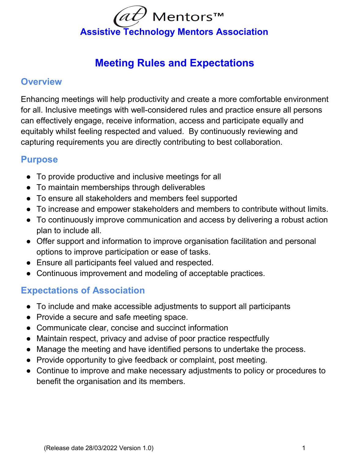

# **Meeting Rules and Expectations**

#### **Overview**

Enhancing meetings will help productivity and create a more comfortable environment for all. Inclusive meetings with well-considered rules and practice ensure all persons can effectively engage, receive information, access and participate equally and equitably whilst feeling respected and valued. By continuously reviewing and capturing requirements you are directly contributing to best collaboration.

#### **Purpose**

- To provide productive and inclusive meetings for all
- To maintain memberships through deliverables
- To ensure all stakeholders and members feel supported
- To increase and empower stakeholders and members to contribute without limits.
- To continuously improve communication and access by delivering a robust action plan to include all.
- Offer support and information to improve organisation facilitation and personal options to improve participation or ease of tasks.
- Ensure all participants feel valued and respected.
- Continuous improvement and modeling of acceptable practices.

## **Expectations of Association**

- To include and make accessible adjustments to support all participants
- Provide a secure and safe meeting space.
- Communicate clear, concise and succinct information
- Maintain respect, privacy and advise of poor practice respectfully
- Manage the meeting and have identified persons to undertake the process.
- Provide opportunity to give feedback or complaint, post meeting.
- Continue to improve and make necessary adjustments to policy or procedures to benefit the organisation and its members.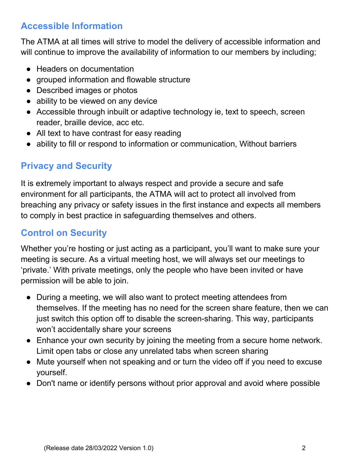### **Accessible Information**

The ATMA at all times will strive to model the delivery of accessible information and will continue to improve the availability of information to our members by including;

- Headers on documentation
- grouped information and flowable structure
- Described images or photos
- ability to be viewed on any device
- Accessible through inbuilt or adaptive technology ie, text to speech, screen reader, braille device, acc etc.
- All text to have contrast for easy reading
- ability to fill or respond to information or communication, Without barriers

## **Privacy and Security**

It is extremely important to always respect and provide a secure and safe environment for all participants, the ATMA will act to protect all involved from breaching any privacy or safety issues in the first instance and expects all members to comply in best practice in safeguarding themselves and others.

## **Control on Security**

Whether you're hosting or just acting as a participant, you'll want to make sure your meeting is secure. As a virtual meeting host, we will always set our meetings to 'private.' With private meetings, only the people who have been invited or have permission will be able to join.

- During a meeting, we will also want to protect meeting attendees from themselves. If the meeting has no need for the screen share feature, then we can just switch this option off to disable the screen-sharing. This way, participants won't accidentally share your screens
- Enhance your own security by joining the meeting from a secure home network. Limit open tabs or close any unrelated tabs when screen sharing
- Mute yourself when not speaking and or turn the video off if you need to excuse yourself.
- Don't name or identify persons without prior approval and avoid where possible